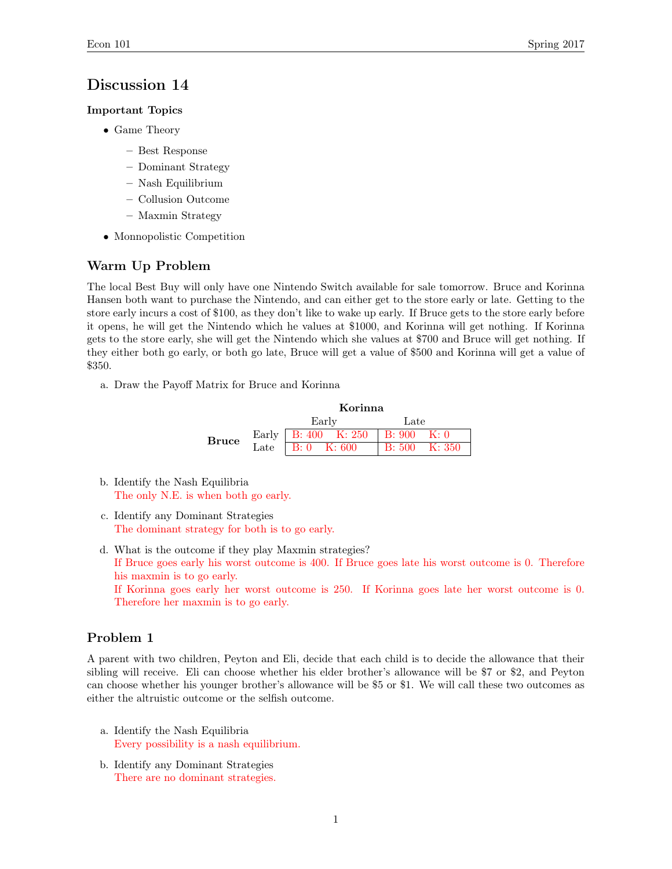# Discussion 14

#### Important Topics

- Game Theory
	- Best Response
	- Dominant Strategy
	- Nash Equilibrium
	- Collusion Outcome
	- Maxmin Strategy
- Monnopolistic Competition

# Warm Up Problem

The local Best Buy will only have one Nintendo Switch available for sale tomorrow. Bruce and Korinna Hansen both want to purchase the Nintendo, and can either get to the store early or late. Getting to the store early incurs a cost of \$100, as they don't like to wake up early. If Bruce gets to the store early before it opens, he will get the Nintendo which he values at \$1000, and Korinna will get nothing. If Korinna gets to the store early, she will get the Nintendo which she values at \$700 and Bruce will get nothing. If they either both go early, or both go late, Bruce will get a value of \$500 and Korinna will get a value of \$350.

a. Draw the Payoff Matrix for Bruce and Korinna

|              | Korinna                             |                         |  |  |
|--------------|-------------------------------------|-------------------------|--|--|
|              | Early                               | Late                    |  |  |
| <b>Bruce</b> | Early   B: 400 K: 250   B: 900 K: 0 |                         |  |  |
|              | Late   $B: 0$ K: 600                | $  B: 500 \quad K: 350$ |  |  |

- b. Identify the Nash Equilibria The only N.E. is when both go early.
- c. Identify any Dominant Strategies The dominant strategy for both is to go early.
- d. What is the outcome if they play Maxmin strategies? If Bruce goes early his worst outcome is 400. If Bruce goes late his worst outcome is 0. Therefore his maxmin is to go early. If Korinna goes early her worst outcome is 250. If Korinna goes late her worst outcome is 0. Therefore her maxmin is to go early.

# Problem 1

A parent with two children, Peyton and Eli, decide that each child is to decide the allowance that their sibling will receive. Eli can choose whether his elder brother's allowance will be \$7 or \$2, and Peyton can choose whether his younger brother's allowance will be \$5 or \$1. We will call these two outcomes as either the altruistic outcome or the selfish outcome.

- a. Identify the Nash Equilibria Every possibility is a nash equilibrium.
- b. Identify any Dominant Strategies There are no dominant strategies.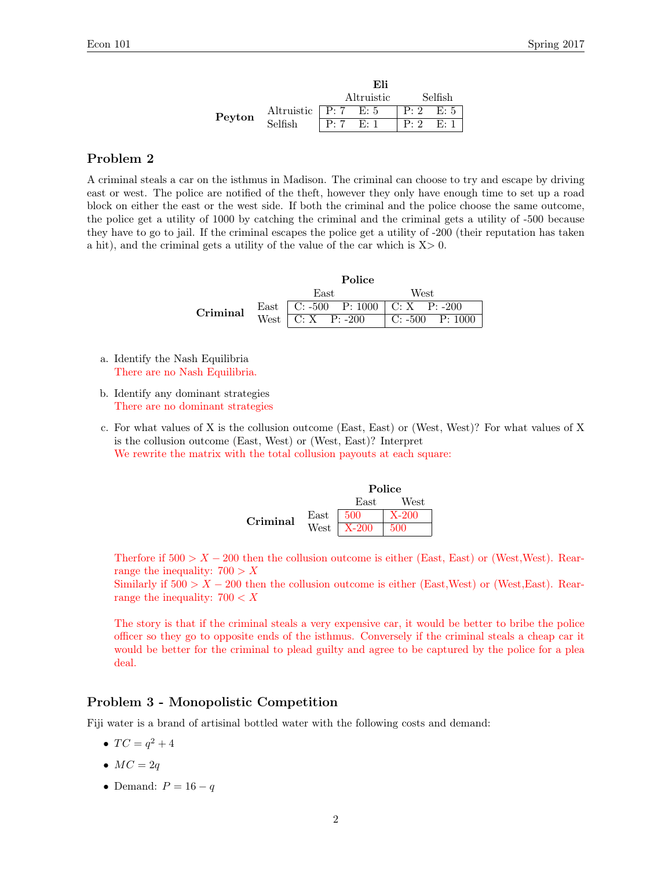|        |                                     | Eli        |  |                |  |
|--------|-------------------------------------|------------|--|----------------|--|
|        |                                     | Altruistic |  | Selfish        |  |
| Peyton | Altruistic $\sqrt{P: 7 \quad E: 5}$ |            |  | $P: 2 \t E: 5$ |  |
|        | Selfish                             | P:7 E:1    |  | $P: 2 \t E: 1$ |  |

# Problem 2

A criminal steals a car on the isthmus in Madison. The criminal can choose to try and escape by driving east or west. The police are notified of the theft, however they only have enough time to set up a road block on either the east or the west side. If both the criminal and the police choose the same outcome, the police get a utility of 1000 by catching the criminal and the criminal gets a utility of -500 because they have to go to jail. If the criminal escapes the police get a utility of -200 (their reputation has taken a hit), and the criminal gets a utility of the value of the car which is  $X > 0$ .

|          | Police                                |                                 |  |  |
|----------|---------------------------------------|---------------------------------|--|--|
|          | East                                  | West                            |  |  |
| Criminal | East   C: -500 P: 1000   C: X P: -200 |                                 |  |  |
|          | West $\overline{C: X}$ P: -200        | $\vert$ C: -500 P: 1000 $\vert$ |  |  |

- a. Identify the Nash Equilibria There are no Nash Equilibria.
- b. Identify any dominant strategies There are no dominant strategies
- c. For what values of X is the collusion outcome (East, East) or (West, West)? For what values of X is the collusion outcome (East, West) or (West, East)? Interpret We rewrite the matrix with the total collusion payouts at each square:

|          |                       | Police         |         |
|----------|-----------------------|----------------|---------|
|          |                       | East           | West    |
| Criminal | East $\frac{1500}{ }$ |                | $X-200$ |
|          |                       | West   $X-200$ | -500    |

Therfore if  $500 > X - 200$  then the collusion outcome is either (East, East) or (West, West). Rearrange the inequality:  $700 > X$ 

Similarly if  $500 > X - 200$  then the collusion outcome is either (East,West) or (West,East). Rearrange the inequality:  $700 < X$ 

The story is that if the criminal steals a very expensive car, it would be better to bribe the police officer so they go to opposite ends of the isthmus. Conversely if the criminal steals a cheap car it would be better for the criminal to plead guilty and agree to be captured by the police for a plea deal.

#### Problem 3 - Monopolistic Competition

Fiji water is a brand of artisinal bottled water with the following costs and demand:

- $TC = q^2 + 4$
- $MC = 2q$
- Demand:  $P = 16 q$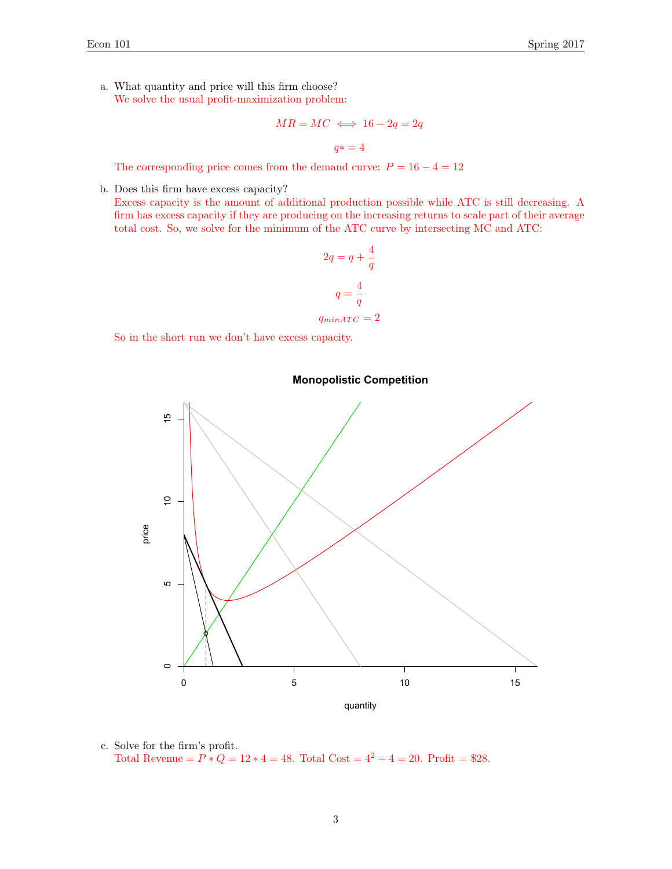a. What quantity and price will this firm choose? We solve the usual profit-maximization problem:

$$
MR = MC \iff 16 - 2q = 2q
$$

 $q* = 4$ 

The corresponding price comes from the demand curve:  $P = 16 - 4 = 12$ 

b. Does this firm have excess capacity?

Excess capacity is the amount of additional production possible while ATC is still decreasing. A firm has excess capacity if they are producing on the increasing returns to scale part of their average total cost. So, we solve for the minimum of the ATC curve by intersecting MC and ATC:

$$
2q = q + \frac{4}{q}
$$

$$
q = \frac{4}{q}
$$

$$
q_{minATC} = 2
$$

So in the short run we don't have excess capacity.



#### **Monopolistic Competition**

c. Solve for the firm's profit. Total Revenue =  $P * Q = 12 * 4 = 48$ . Total Cost =  $4^2 + 4 = 20$ . Profit = \$28.